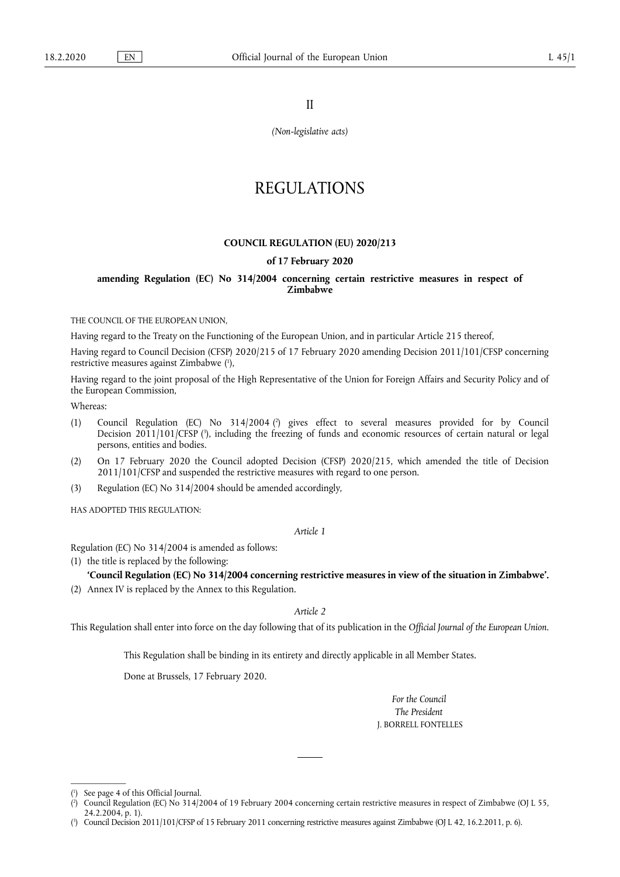II

*(Non-legislative acts)* 

# REGULATIONS

#### **COUNCIL REGULATION (EU) 2020/213**

#### **of 17 February 2020**

### **amending Regulation (EC) No 314/2004 concerning certain restrictive measures in respect of Zimbabwe**

THE COUNCIL OF THE EUROPEAN UNION,

Having regard to the Treaty on the Functioning of the European Union, and in particular Article 215 thereof,

Having regard to Council Decision (CFSP) 2020/215 of 17 February 2020 amending Decision 2011/101/CFSP concerning restrictive measures against Zimbabwe ( 1 ),

Having regard to the joint proposal of the High Representative of the Union for Foreign Affairs and Security Policy and of the European Commission,

Whereas:

- (1) Council Regulation (EC) No 314/2004 ( 2 ) gives effect to several measures provided for by Council Decision 2011/101/CFSP (?), including the freezing of funds and economic resources of certain natural or legal persons, entities and bodies.
- (2) On 17 February 2020 the Council adopted Decision (CFSP) 2020/215, which amended the title of Decision 2011/101/CFSP and suspended the restrictive measures with regard to one person.
- (3) Regulation (EC) No 314/2004 should be amended accordingly,

HAS ADOPTED THIS REGULATION·

#### *Article 1*

Regulation (EC) No 314/2004 is amended as follows:

(1) the title is replaced by the following:

#### **'Council Regulation (EC) No 314/2004 concerning restrictive measures in view of the situation in Zimbabwe'.**

(2) Annex IV is replaced by the Annex to this Regulation.

#### *Article 2*

This Regulation shall enter into force on the day following that of its publication in the *Official Journal of the European Union*.

This Regulation shall be binding in its entirety and directly applicable in all Member States.

Done at Brussels, 17 February 2020.

*For the Council The President*  J. BORRELL FONTELLES

<sup>(</sup> 1 ) See page 4 of this Official Journal.

 $(2)$ ) Council Regulation (EC) No 314/2004 of 19 February 2004 concerning certain restrictive measures in respect of Zimbabwe (OJ L 55, 24.2.2004, p. 1).

<sup>(</sup> 3 ) Council Decision 2011/101/CFSP of 15 February 2011 concerning restrictive measures against Zimbabwe (OJ L 42, 16.2.2011, p. 6).